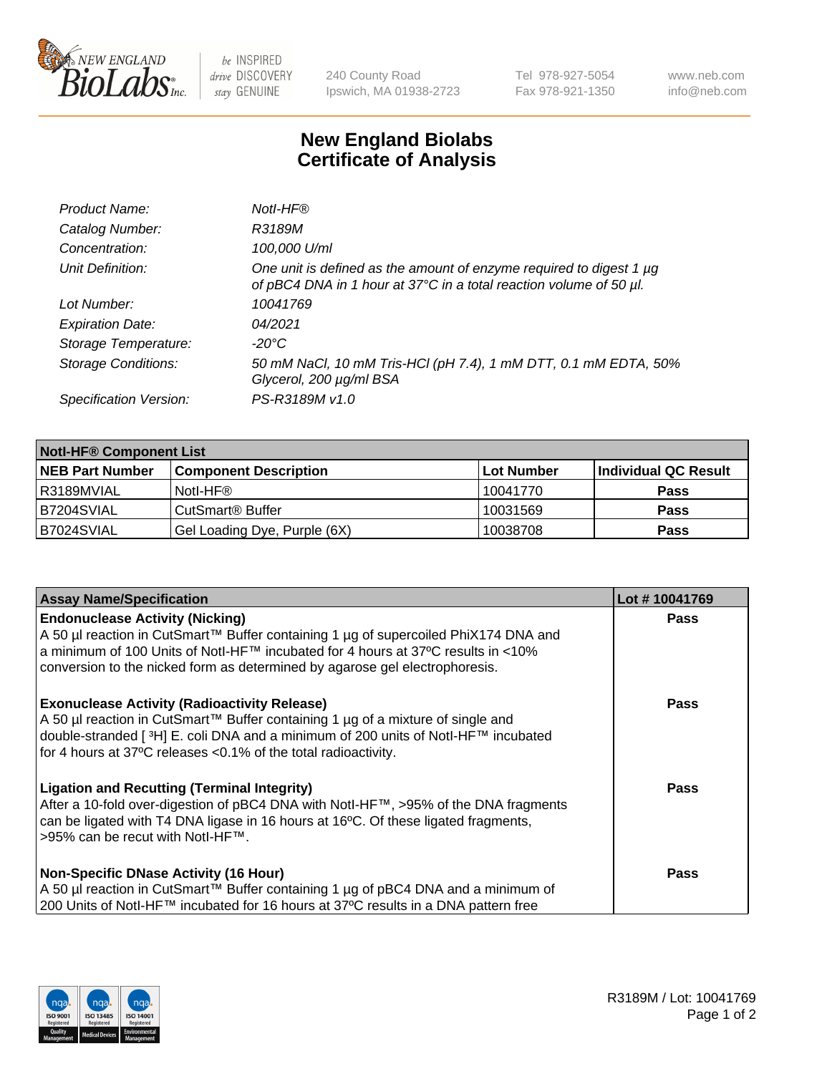

 $be$  INSPIRED drive DISCOVERY stay GENUINE

240 County Road Ipswich, MA 01938-2723 Tel 978-927-5054 Fax 978-921-1350 www.neb.com info@neb.com

## **New England Biolabs Certificate of Analysis**

| Product Name:              | Notl-HF®                                                                                                                                  |
|----------------------------|-------------------------------------------------------------------------------------------------------------------------------------------|
| Catalog Number:            | R3189M                                                                                                                                    |
| Concentration:             | 100,000 U/ml                                                                                                                              |
| Unit Definition:           | One unit is defined as the amount of enzyme required to digest 1 µg<br>of pBC4 DNA in 1 hour at 37°C in a total reaction volume of 50 µl. |
| Lot Number:                | 10041769                                                                                                                                  |
| <b>Expiration Date:</b>    | 04/2021                                                                                                                                   |
| Storage Temperature:       | -20°C                                                                                                                                     |
| <b>Storage Conditions:</b> | 50 mM NaCl, 10 mM Tris-HCl (pH 7.4), 1 mM DTT, 0.1 mM EDTA, 50%<br>Glycerol, 200 µg/ml BSA                                                |
| Specification Version:     | PS-R3189M v1.0                                                                                                                            |

| <b>Notl-HF® Component List</b> |                              |            |                      |  |
|--------------------------------|------------------------------|------------|----------------------|--|
| <b>NEB Part Number</b>         | <b>Component Description</b> | Lot Number | Individual QC Result |  |
| I R3189MVIAL                   | Notl-HF®                     | 10041770   | <b>Pass</b>          |  |
| IB7204SVIAL                    | CutSmart <sup>®</sup> Buffer | 10031569   | <b>Pass</b>          |  |
| B7024SVIAL                     | Gel Loading Dye, Purple (6X) | 10038708   | <b>Pass</b>          |  |

| <b>Assay Name/Specification</b>                                                                                                                                                                                                                                                                            | Lot #10041769 |
|------------------------------------------------------------------------------------------------------------------------------------------------------------------------------------------------------------------------------------------------------------------------------------------------------------|---------------|
| <b>Endonuclease Activity (Nicking)</b><br>  A 50 µl reaction in CutSmart™ Buffer containing 1 µg of supercoiled PhiX174 DNA and                                                                                                                                                                            | <b>Pass</b>   |
| a minimum of 100 Units of Notl-HF™ incubated for 4 hours at 37°C results in <10%<br>conversion to the nicked form as determined by agarose gel electrophoresis.                                                                                                                                            |               |
| <b>Exonuclease Activity (Radioactivity Release)</b><br>A 50 µl reaction in CutSmart™ Buffer containing 1 µg of a mixture of single and<br>double-stranded [ <sup>3</sup> H] E. coli DNA and a minimum of 200 units of Notl-HF™ incubated<br>for 4 hours at 37°C releases <0.1% of the total radioactivity. | <b>Pass</b>   |
| <b>Ligation and Recutting (Terminal Integrity)</b><br>After a 10-fold over-digestion of pBC4 DNA with Notl-HF™, >95% of the DNA fragments<br>can be ligated with T4 DNA ligase in 16 hours at 16 $\degree$ C. Of these ligated fragments,<br> >95% can be recut with NotI-HF™.                             | <b>Pass</b>   |
| Non-Specific DNase Activity (16 Hour)                                                                                                                                                                                                                                                                      | <b>Pass</b>   |
| A 50 µl reaction in CutSmart™ Buffer containing 1 µg of pBC4 DNA and a minimum of<br>200 Units of Notl-HF™ incubated for 16 hours at 37°C results in a DNA pattern free                                                                                                                                    |               |